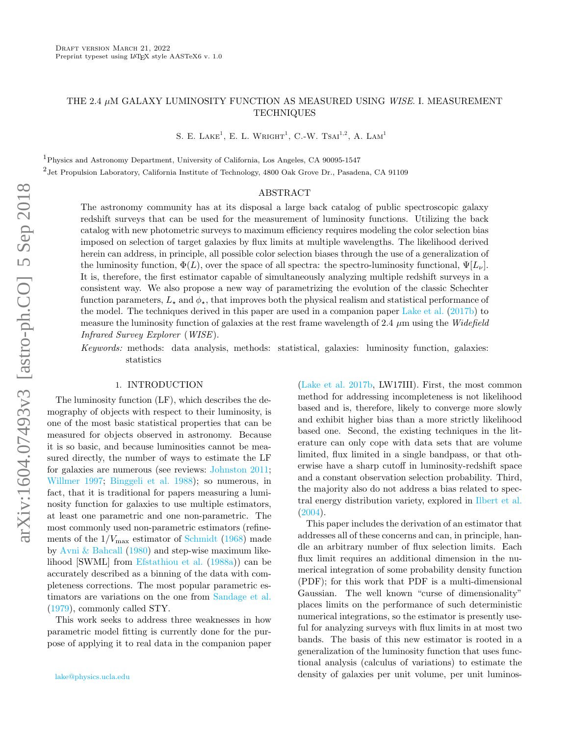# THE 2.4  $\mu$ M GALAXY LUMINOSITY FUNCTION AS MEASURED USING WISE. I. MEASUREMENT **TECHNIQUES**

S. E. LAKE<sup>1</sup>, E. L. WRIGHT<sup>1</sup>, C.-W. TSAI<sup>1,2</sup>, A. LAM<sup>1</sup>

<sup>1</sup>Physics and Astronomy Department, University of California, Los Angeles, CA 90095-1547 <sup>2</sup> Jet Propulsion Laboratory, California Institute of Technology, 4800 Oak Grove Dr., Pasadena, CA 91109

### ABSTRACT

The astronomy community has at its disposal a large back catalog of public spectroscopic galaxy redshift surveys that can be used for the measurement of luminosity functions. Utilizing the back catalog with new photometric surveys to maximum efficiency requires modeling the color selection bias imposed on selection of target galaxies by flux limits at multiple wavelengths. The likelihood derived herein can address, in principle, all possible color selection biases through the use of a generalization of the luminosity function,  $\Phi(L)$ , over the space of all spectra: the spectro-luminosity functional,  $\Psi[L_{\nu}]$ . It is, therefore, the first estimator capable of simultaneously analyzing multiple redshift surveys in a consistent way. We also propose a new way of parametrizing the evolution of the classic Schechter function parameters,  $L_{\star}$  and  $\phi_{\star}$ , that improves both the physical realism and statistical performance of the model. The techniques derived in this paper are used in a companion paper [Lake et al.](#page-13-0) [\(2017b\)](#page-13-0) to measure the luminosity function of galaxies at the rest frame wavelength of 2.4  $\mu$ m using the Widefield Infrared Survey Explorer (WISE).

Keywords: methods: data analysis, methods: statistical, galaxies: luminosity function, galaxies: statistics

### 1. INTRODUCTION

The luminosity function (LF), which describes the demography of objects with respect to their luminosity, is one of the most basic statistical properties that can be measured for objects observed in astronomy. Because it is so basic, and because luminosities cannot be measured directly, the number of ways to estimate the LF for galaxies are numerous (see reviews: [Johnston](#page-13-1) [2011;](#page-13-1) [Willmer](#page-13-2) [1997;](#page-13-2) [Binggeli et al.](#page-13-3) [1988\)](#page-13-3); so numerous, in fact, that it is traditional for papers measuring a luminosity function for galaxies to use multiple estimators, at least one parametric and one non-parametric. The most commonly used non-parametric estimators (refinements of the  $1/V_{\text{max}}$  estimator of [Schmidt](#page-13-4) [\(1968\)](#page-13-4) made by [Avni & Bahcall](#page-13-5) [\(1980\)](#page-13-5) and step-wise maximum likelihood [SWML] from [Efstathiou et al.](#page-13-6) [\(1988a\)](#page-13-6)) can be accurately described as a binning of the data with completeness corrections. The most popular parametric estimators are variations on the one from [Sandage et al.](#page-13-7) [\(1979\)](#page-13-7), commonly called STY.

This work seeks to address three weaknesses in how parametric model fitting is currently done for the purpose of applying it to real data in the companion paper [\(Lake et al.](#page-13-0) [2017b,](#page-13-0) LW17III). First, the most common method for addressing incompleteness is not likelihood based and is, therefore, likely to converge more slowly and exhibit higher bias than a more strictly likelihood based one. Second, the existing techniques in the literature can only cope with data sets that are volume limited, flux limited in a single bandpass, or that otherwise have a sharp cutoff in luminosity-redshift space and a constant observation selection probability. Third, the majority also do not address a bias related to spectral energy distribution variety, explored in [Ilbert et al.](#page-13-8) [\(2004\)](#page-13-8).

This paper includes the derivation of an estimator that addresses all of these concerns and can, in principle, handle an arbitrary number of flux selection limits. Each flux limit requires an additional dimension in the numerical integration of some probability density function (PDF); for this work that PDF is a multi-dimensional Gaussian. The well known "curse of dimensionality" places limits on the performance of such deterministic numerical integrations, so the estimator is presently useful for analyzing surveys with flux limits in at most two bands. The basis of this new estimator is rooted in a generalization of the luminosity function that uses functional analysis (calculus of variations) to estimate the density of galaxies per unit volume, per unit luminos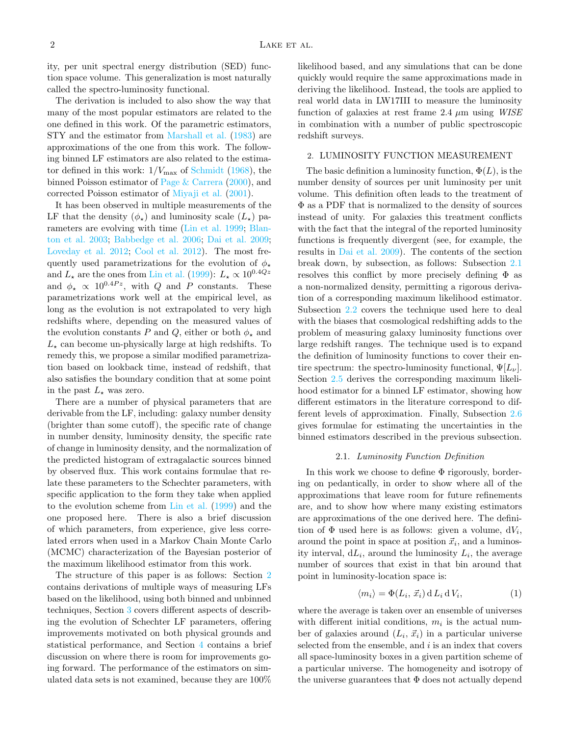ity, per unit spectral energy distribution (SED) function space volume. This generalization is most naturally called the spectro-luminosity functional.

The derivation is included to also show the way that many of the most popular estimators are related to the one defined in this work. Of the parametric estimators, STY and the estimator from [Marshall et al.](#page-13-9) [\(1983\)](#page-13-9) are approximations of the one from this work. The following binned LF estimators are also related to the estimator defined in this work:  $1/V_{\text{max}}$  of [Schmidt](#page-13-4) [\(1968\)](#page-13-4), the binned Poisson estimator of [Page & Carrera](#page-13-10) [\(2000\)](#page-13-10), and corrected Poisson estimator of [Miyaji et al.](#page-13-11) [\(2001\)](#page-13-11).

It has been observed in multiple measurements of the LF that the density  $(\phi_{\star})$  and luminosity scale  $(L_{\star})$  parameters are evolving with time [\(Lin et al.](#page-13-12) [1999;](#page-13-12) [Blan](#page-13-13)[ton et al.](#page-13-13) [2003;](#page-13-13) [Babbedge et al.](#page-13-14) [2006;](#page-13-14) [Dai et al.](#page-13-15) [2009;](#page-13-15) [Loveday et al.](#page-13-16) [2012;](#page-13-16) [Cool et al.](#page-13-17) [2012\)](#page-13-17). The most frequently used parametrizations for the evolution of  $\phi_{\star}$ and  $L_{\star}$  are the ones from [Lin et al.](#page-13-12) [\(1999\)](#page-13-12):  $L_{\star} \propto 10^{0.4Qz}$ and  $\phi_{\star} \propto 10^{0.4}$ , with Q and P constants. These parametrizations work well at the empirical level, as long as the evolution is not extrapolated to very high redshifts where, depending on the measured values of the evolution constants P and Q, either or both  $\phi_{\star}$  and  $L_{\star}$  can become un-physically large at high redshifts. To remedy this, we propose a similar modified parametrization based on lookback time, instead of redshift, that also satisfies the boundary condition that at some point in the past  $L_{\star}$  was zero.

There are a number of physical parameters that are derivable from the LF, including: galaxy number density (brighter than some cutoff), the specific rate of change in number density, luminosity density, the specific rate of change in luminosity density, and the normalization of the predicted histogram of extragalactic sources binned by observed flux. This work contains formulae that relate these parameters to the Schechter parameters, with specific application to the form they take when applied to the evolution scheme from [Lin et al.](#page-13-12) [\(1999\)](#page-13-12) and the one proposed here. There is also a brief discussion of which parameters, from experience, give less correlated errors when used in a Markov Chain Monte Carlo (MCMC) characterization of the Bayesian posterior of the maximum likelihood estimator from this work.

The structure of this paper is as follows: Section [2](#page-1-0) contains derivations of multiple ways of measuring LFs based on the likelihood, using both binned and unbinned techniques, Section [3](#page-9-0) covers different aspects of describing the evolution of Schechter LF parameters, offering improvements motivated on both physical grounds and statistical performance, and Section [4](#page-12-0) contains a brief discussion on where there is room for improvements going forward. The performance of the estimators on simulated data sets is not examined, because they are 100%

likelihood based, and any simulations that can be done quickly would require the same approximations made in deriving the likelihood. Instead, the tools are applied to real world data in LW17III to measure the luminosity function of galaxies at rest frame 2.4  $\mu$ m using WISE in combination with a number of public spectroscopic redshift surveys.

## <span id="page-1-0"></span>2. LUMINOSITY FUNCTION MEASUREMENT

The basic definition a luminosity function,  $\Phi(L)$ , is the number density of sources per unit luminosity per unit volume. This definition often leads to the treatment of Φ as a PDF that is normalized to the density of sources instead of unity. For galaxies this treatment conflicts with the fact that the integral of the reported luminosity functions is frequently divergent (see, for example, the results in [Dai et al.](#page-13-15) [2009\)](#page-13-15). The contents of the section break down, by subsection, as follows: Subsection [2.1](#page-1-1) resolves this conflict by more precisely defining  $\Phi$  as a non-normalized density, permitting a rigorous derivation of a corresponding maximum likelihood estimator. Subsection [2.2](#page-3-0) covers the technique used here to deal with the biases that cosmological redshifting adds to the problem of measuring galaxy luminosity functions over large redshift ranges. The technique used is to expand the definition of luminosity functions to cover their entire spectrum: the spectro-luminosity functional,  $\Psi[L_{\nu}]$ . Section [2.5](#page-8-0) derives the corresponding maximum likelihood estimator for a binned LF estimator, showing how different estimators in the literature correspond to different levels of approximation. Finally, Subsection [2.6](#page-9-1) gives formulae for estimating the uncertainties in the binned estimators described in the previous subsection.

#### 2.1. Luminosity Function Definition

<span id="page-1-1"></span>In this work we choose to define Φ rigorously, bordering on pedantically, in order to show where all of the approximations that leave room for future refinements are, and to show how where many existing estimators are approximations of the one derived here. The definition of  $\Phi$  used here is as follows: given a volume,  $dV_i$ , around the point in space at position  $\vec{x}_i$ , and a luminosity interval,  $dL_i$ , around the luminosity  $L_i$ , the average number of sources that exist in that bin around that point in luminosity-location space is:

$$
\langle m_i \rangle = \Phi(L_i, \vec{x}_i) \, d \, L_i \, d \, V_i,\tag{1}
$$

where the average is taken over an ensemble of universes with different initial conditions,  $m_i$  is the actual number of galaxies around  $(L_i, \vec{x}_i)$  in a particular universe selected from the ensemble, and  $i$  is an index that covers all space-luminosity boxes in a given partition scheme of a particular universe. The homogeneity and isotropy of the universe guarantees that  $\Phi$  does not actually depend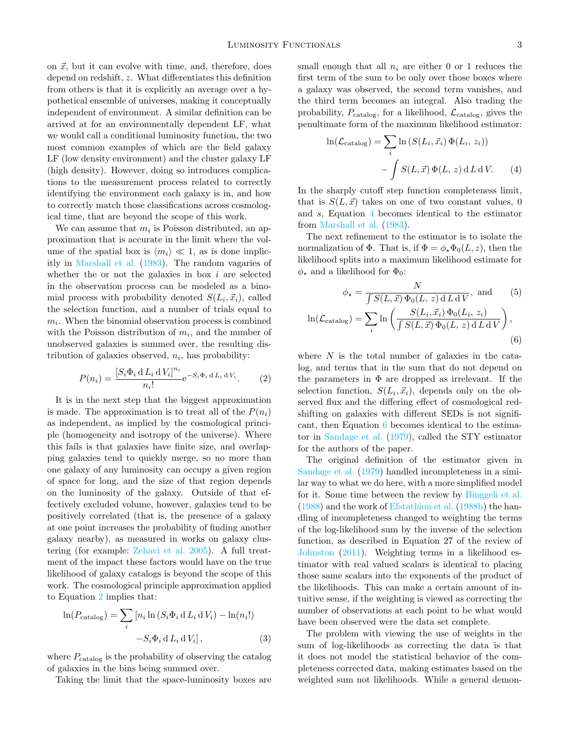on  $\vec{x}$ , but it can evolve with time, and, therefore, does depend on redshift, z. What differentiates this definition from others is that it is explicitly an average over a hypothetical ensemble of universes, making it conceptually independent of environment. A similar definition can be arrived at for an environmentally dependent LF, what we would call a conditional luminosity function, the two most common examples of which are the field galaxy LF (low density environment) and the cluster galaxy LF (high density). However, doing so introduces complications to the measurement process related to correctly identifying the environment each galaxy is in, and how to correctly match those classifications across cosmological time, that are beyond the scope of this work.

We can assume that  $m_i$  is Poisson distributed, an approximation that is accurate in the limit where the volume of the spatial box is  $\langle m_i \rangle \ll 1$ , as is done implicitly in [Marshall et al.](#page-13-9) [\(1983\)](#page-13-9). The random vagaries of whether the or not the galaxies in box  $i$  are selected in the observation process can be modeled as a binomial process with probability denoted  $S(L_i, \vec{x}_i)$ , called the selection function, and a number of trials equal to  $m_i$ . When the binomial observation process is combined with the Poisson distribution of  $m_i$ , and the number of unobserved galaxies is summed over, the resulting distribution of galaxies observed,  $n_i$ , has probability:

$$
P(n_i) = \frac{\left[S_i \Phi_i \operatorname{d} L_i \operatorname{d} V_i\right]^{n_i}}{n_i!} e^{-S_i \Phi_i \operatorname{d} L_i \operatorname{d} V_i}.
$$
 (2)

It is in the next step that the biggest approximation is made. The approximation is to treat all of the  $P(n_i)$ as independent, as implied by the cosmological principle (homogeneity and isotropy of the universe). Where this fails is that galaxies have finite size, and overlapping galaxies tend to quickly merge, so no more than one galaxy of any luminosity can occupy a given region of space for long, and the size of that region depends on the luminosity of the galaxy. Outside of that effectively excluded volume, however, galaxies tend to be positively correlated (that is, the presence of a galaxy at one point increases the probability of finding another galaxy nearby), as measured in works on galaxy clustering (for example: [Zehavi et al.](#page-13-18) [2005\)](#page-13-18). A full treatment of the impact these factors would have on the true likelihood of galaxy catalogs is beyond the scope of this work. The cosmological principle approximation applied to Equation [2](#page-2-0) implies that:

$$
\ln(P_{\text{catalog}}) = \sum_{i} [n_i \ln (S_i \Phi_i \, d L_i \, d V_i) - \ln(n_i!) -S_i \Phi_i \, d L_i \, d V_i], \tag{3}
$$

where  $P_{\text{catalog}}$  is the probability of observing the catalog of galaxies in the bins being summed over.

Taking the limit that the space-luminosity boxes are

small enough that all  $n_i$  are either 0 or 1 reduces the first term of the sum to be only over those boxes where a galaxy was observed, the second term vanishes, and the third term becomes an integral. Also trading the probability,  $P_{\text{catalog}}$ , for a likelihood,  $\mathcal{L}_{\text{catalog}}$ , gives the penultimate form of the maximum likelihood estimator:

<span id="page-2-1"></span>
$$
\ln(\mathcal{L}_{\text{catalog}}) = \sum_{i} \ln \left( S(L_i, \vec{x}_i) \Phi(L_i, z_i) \right) - \int S(L, \vec{x}) \Phi(L, z) dL dV.
$$
 (4)

In the sharply cutoff step function completeness limit, that is  $S(L, \vec{x})$  takes on one of two constant values, 0 and s, Equation [4](#page-2-1) becomes identical to the estimator from [Marshall et al.](#page-13-9) [\(1983\)](#page-13-9).

The next refinement to the estimator is to isolate the normalization of  $\Phi$ . That is, if  $\Phi = \phi_* \Phi_0(L, z)$ , then the likelihood splits into a maximum likelihood estimate for  $\phi_{\star}$  and a likelihood for  $\Phi_{0}$ :

<span id="page-2-2"></span>
$$
\phi_{\star} = \frac{N}{\int S(L, \vec{x}) \Phi_0(L, z) dL dV}, \text{ and } (5)
$$

$$
\ln(\mathcal{L}_{\text{catalog}}) = \sum_{i} \ln \left( \frac{S(L_i, \vec{x}_i) \Phi_0(L_i, z_i)}{\int S(L, \vec{x}) \Phi_0(L, z) dL dV} \right),
$$
(6)

<span id="page-2-0"></span>where  $N$  is the total number of galaxies in the catalog, and terms that in the sum that do not depend on the parameters in  $\Phi$  are dropped as irrelevant. If the selection function,  $S(L_i, \vec{x}_i)$ , depends only on the observed flux and the differing effect of cosmological redshifting on galaxies with different SEDs is not significant, then Equation [6](#page-2-2) becomes identical to the estimator in [Sandage et al.](#page-13-7) [\(1979\)](#page-13-7), called the STY estimator for the authors of the paper.

The original definition of the estimator given in [Sandage et al.](#page-13-7) [\(1979\)](#page-13-7) handled incompleteness in a similar way to what we do here, with a more simplified model for it. Some time between the review by [Binggeli et al.](#page-13-3) [\(1988\)](#page-13-3) and the work of [Efstathiou et al.](#page-13-19) [\(1988b\)](#page-13-19) the handling of incompleteness changed to weighting the terms of the log-likelihood sum by the inverse of the selection function, as described in Equation 27 of the review of [Johnston](#page-13-1) [\(2011\)](#page-13-1). Weighting terms in a likelihood estimator with real valued scalars is identical to placing those same scalars into the exponents of the product of the likelihoods. This can make a certain amount of intuitive sense, if the weighting is viewed as correcting the number of observations at each point to be what would have been observed were the data set complete.

The problem with viewing the use of weights in the sum of log-likelihoods as correcting the data is that it does not model the statistical behavior of the completeness corrected data, making estimates based on the weighted sum not likelihoods. While a general demon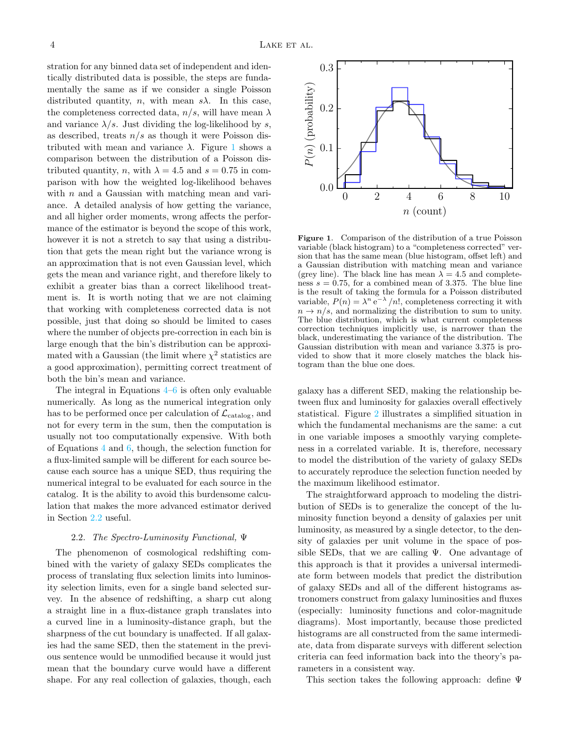stration for any binned data set of independent and identically distributed data is possible, the steps are fundamentally the same as if we consider a single Poisson distributed quantity, *n*, with mean  $s\lambda$ . In this case, the completeness corrected data,  $n/s$ , will have mean  $\lambda$ and variance  $\lambda/s$ . Just dividing the log-likelihood by s, as described, treats  $n/s$  as though it were Poisson distributed with mean and variance  $\lambda$ . Figure [1](#page-3-1) shows a comparison between the distribution of a Poisson distributed quantity, n, with  $\lambda = 4.5$  and  $s = 0.75$  in comparison with how the weighted log-likelihood behaves with  $n$  and a Gaussian with matching mean and variance. A detailed analysis of how getting the variance, and all higher order moments, wrong affects the performance of the estimator is beyond the scope of this work, however it is not a stretch to say that using a distribution that gets the mean right but the variance wrong is an approximation that is not even Gaussian level, which gets the mean and variance right, and therefore likely to exhibit a greater bias than a correct likelihood treatment is. It is worth noting that we are not claiming that working with completeness corrected data is not possible, just that doing so should be limited to cases where the number of objects pre-correction in each bin is large enough that the bin's distribution can be approximated with a Gaussian (the limit where  $\chi^2$  statistics are a good approximation), permitting correct treatment of both the bin's mean and variance.

The integral in Equations [4–](#page-2-1)[6](#page-2-2) is often only evaluable numerically. As long as the numerical integration only has to be performed once per calculation of  $\mathcal{L}_{\text{catalog}}$ , and not for every term in the sum, then the computation is usually not too computationally expensive. With both of Equations [4](#page-2-1) and [6,](#page-2-2) though, the selection function for a flux-limited sample will be different for each source because each source has a unique SED, thus requiring the numerical integral to be evaluated for each source in the catalog. It is the ability to avoid this burdensome calculation that makes the more advanced estimator derived in Section [2.2](#page-3-0) useful.

### 2.2. The Spectro-Luminosity Functional, Ψ

<span id="page-3-0"></span>The phenomenon of cosmological redshifting combined with the variety of galaxy SEDs complicates the process of translating flux selection limits into luminosity selection limits, even for a single band selected survey. In the absence of redshifting, a sharp cut along a straight line in a flux-distance graph translates into a curved line in a luminosity-distance graph, but the sharpness of the cut boundary is unaffected. If all galaxies had the same SED, then the statement in the previous sentence would be unmodified because it would just mean that the boundary curve would have a different shape. For any real collection of galaxies, though, each



<span id="page-3-1"></span>Figure 1. Comparison of the distribution of a true Poisson variable (black histogram) to a "completeness corrected" version that has the same mean (blue histogram, offset left) and a Gaussian distribution with matching mean and variance (grey line). The black line has mean  $\lambda = 4.5$  and completeness  $s = 0.75$ , for a combined mean of 3.375. The blue line is the result of taking the formula for a Poisson distributed variable,  $P(n) = \lambda^n e^{-\lambda}/n!$ , completeness correcting it with  $n \to n/s$ , and normalizing the distribution to sum to unity. The blue distribution, which is what current completeness correction techniques implicitly use, is narrower than the black, underestimating the variance of the distribution. The Gaussian distribution with mean and variance 3.375 is provided to show that it more closely matches the black histogram than the blue one does.

galaxy has a different SED, making the relationship between flux and luminosity for galaxies overall effectively statistical. Figure [2](#page-4-0) illustrates a simplified situation in which the fundamental mechanisms are the same: a cut in one variable imposes a smoothly varying completeness in a correlated variable. It is, therefore, necessary to model the distribution of the variety of galaxy SEDs to accurately reproduce the selection function needed by the maximum likelihood estimator.

The straightforward approach to modeling the distribution of SEDs is to generalize the concept of the luminosity function beyond a density of galaxies per unit luminosity, as measured by a single detector, to the density of galaxies per unit volume in the space of possible SEDs, that we are calling  $\Psi$ . One advantage of this approach is that it provides a universal intermediate form between models that predict the distribution of galaxy SEDs and all of the different histograms astronomers construct from galaxy luminosities and fluxes (especially: luminosity functions and color-magnitude diagrams). Most importantly, because those predicted histograms are all constructed from the same intermediate, data from disparate surveys with different selection criteria can feed information back into the theory's parameters in a consistent way.

This section takes the following approach: define Ψ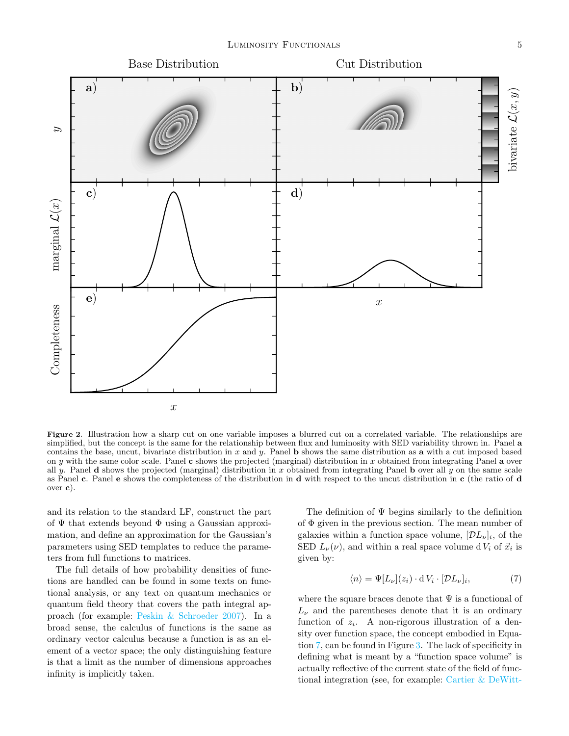

<span id="page-4-0"></span>Figure 2. Illustration how a sharp cut on one variable imposes a blurred cut on a correlated variable. The relationships are simplified, but the concept is the same for the relationship between flux and luminosity with SED variability thrown in. Panel a contains the base, uncut, bivariate distribution in  $x$  and  $y$ . Panel **b** shows the same distribution as **a** with a cut imposed based on y with the same color scale. Panel c shows the projected (marginal) distribution in x obtained from integrating Panel a over all y. Panel **d** shows the projected (marginal) distribution in x obtained from integrating Panel **b** over all y on the same scale as Panel c. Panel e shows the completeness of the distribution in d with respect to the uncut distribution in c (the ratio of d over c).

and its relation to the standard LF, construct the part of  $\Psi$  that extends beyond  $\Phi$  using a Gaussian approximation, and define an approximation for the Gaussian's parameters using SED templates to reduce the parameters from full functions to matrices.

The full details of how probability densities of functions are handled can be found in some texts on functional analysis, or any text on quantum mechanics or quantum field theory that covers the path integral approach (for example: [Peskin & Schroeder](#page-13-20) [2007\)](#page-13-20). In a broad sense, the calculus of functions is the same as ordinary vector calculus because a function is as an element of a vector space; the only distinguishing feature is that a limit as the number of dimensions approaches infinity is implicitly taken.

The definition of Ψ begins similarly to the definition of  $\Phi$  given in the previous section. The mean number of galaxies within a function space volume,  $[D_{\nu}]_i$ , of the SED  $L_{\nu}(\nu)$ , and within a real space volume d  $V_i$  of  $\vec{x}_i$  is given by:

<span id="page-4-1"></span>
$$
\langle n \rangle = \Psi[L_{\nu}](z_i) \cdot dV_i \cdot [\mathcal{D}L_{\nu}]_i,\tag{7}
$$

where the square braces denote that  $\Psi$  is a functional of  $L_{\nu}$  and the parentheses denote that it is an ordinary function of  $z_i$ . A non-rigorous illustration of a density over function space, the concept embodied in Equation [7,](#page-4-1) can be found in Figure [3.](#page-5-0) The lack of specificity in defining what is meant by a "function space volume" is actually reflective of the current state of the field of functional integration (see, for example: [Cartier & DeWitt-](#page-13-21)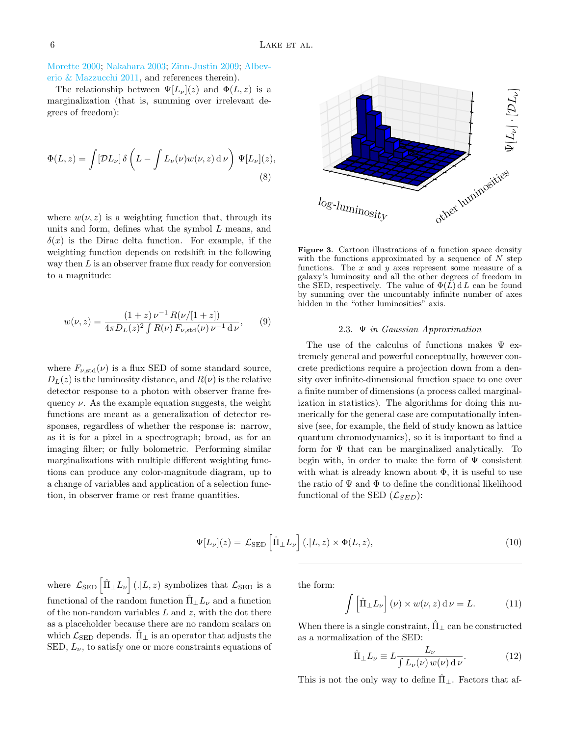[Morette](#page-13-21) [2000;](#page-13-21) [Nakahara](#page-13-22) [2003;](#page-13-22) [Zinn-Justin](#page-13-23) [2009;](#page-13-23) [Albev](#page-13-24)[erio & Mazzucchi](#page-13-24) [2011,](#page-13-24) and references therein).

The relationship between  $\Psi[L_{\nu}](z)$  and  $\Phi(L, z)$  is a marginalization (that is, summing over irrelevant degrees of freedom):

$$
\Phi(L, z) = \int [\mathcal{D}L_{\nu}] \, \delta\left(L - \int L_{\nu}(\nu) w(\nu, z) \, \mathrm{d}\,\nu\right) \, \Psi[L_{\nu}](z),\tag{8}
$$

where  $w(\nu, z)$  is a weighting function that, through its units and form, defines what the symbol L means, and  $\delta(x)$  is the Dirac delta function. For example, if the weighting function depends on redshift in the following way then  $L$  is an observer frame flux ready for conversion to a magnitude:

$$
w(\nu, z) = \frac{(1+z)\,\nu^{-1}\,R(\nu/[1+z])}{4\pi D_L(z)^2\int R(\nu)\,F_{\nu, \text{std}}(\nu)\,\nu^{-1}\,\mathrm{d}\,\nu},\qquad(9)
$$

where  $F_{\nu, \text{std}}(\nu)$  is a flux SED of some standard source,  $D<sub>L</sub>(z)$  is the luminosity distance, and  $R(\nu)$  is the relative detector response to a photon with observer frame frequency  $\nu$ . As the example equation suggests, the weight functions are meant as a generalization of detector responses, regardless of whether the response is: narrow, as it is for a pixel in a spectrograph; broad, as for an imaging filter; or fully bolometric. Performing similar marginalizations with multiple different weighting functions can produce any color-magnitude diagram, up to a change of variables and application of a selection function, in observer frame or rest frame quantities.



<span id="page-5-0"></span>Figure 3. Cartoon illustrations of a function space density with the functions approximated by a sequence of  $N$  step functions. The  $x$  and  $y$  axes represent some measure of a galaxy's luminosity and all the other degrees of freedom in the SED, respectively. The value of  $\Phi(L) dL$  can be found by summing over the uncountably infinite number of axes hidden in the "other luminosities" axis.

#### 2.3. Ψ in Gaussian Approximation

The use of the calculus of functions makes  $\Psi$  extremely general and powerful conceptually, however concrete predictions require a projection down from a density over infinite-dimensional function space to one over a finite number of dimensions (a process called marginalization in statistics). The algorithms for doing this numerically for the general case are computationally intensive (see, for example, the field of study known as lattice quantum chromodynamics), so it is important to find a form for  $\Psi$  that can be marginalized analytically. To begin with, in order to make the form of  $\Psi$  consistent with what is already known about  $\Phi$ , it is useful to use the ratio of  $\Psi$  and  $\Phi$  to define the conditional likelihood functional of the SED  $(\mathcal{L}_{SED})$ :

$$
\Psi[L_{\nu}](z) = \mathcal{L}_{\text{SED}}\left[\hat{\Pi}_{\perp}L_{\nu}\right](.|L,z) \times \Phi(L,z),\tag{10}
$$

where  $\mathcal{L}_{\text{SED}}\left[\hat{\Pi}_{\perp}L_{\nu}\right]$  (. $|L, z$ ) symbolizes that  $\mathcal{L}_{\text{SED}}$  is a functional of the random function  $\hat{\Pi} \perp L_{\nu}$  and a function of the non-random variables  $L$  and  $z$ , with the dot there as a placeholder because there are no random scalars on which  $\mathcal{L}_{\text{SED}}$  depends.  $\Pi_{\perp}$  is an operator that adjusts the SED,  $L_{\nu}$ , to satisfy one or more constraints equations of

the form:

<span id="page-5-1"></span>
$$
\int \left[\hat{\Pi}_{\perp} L_{\nu}\right](\nu) \times w(\nu, z) d\nu = L. \tag{11}
$$

When there is a single constraint,  $\Pi_{\perp}$  can be constructed as a normalization of the SED:

$$
\hat{\Pi}_{\perp} L_{\nu} \equiv L \frac{L_{\nu}}{\int L_{\nu}(\nu) w(\nu) \, \mathrm{d}\,\nu}.
$$
 (12)

This is not the only way to define  $\Pi_{\perp}$ . Factors that af-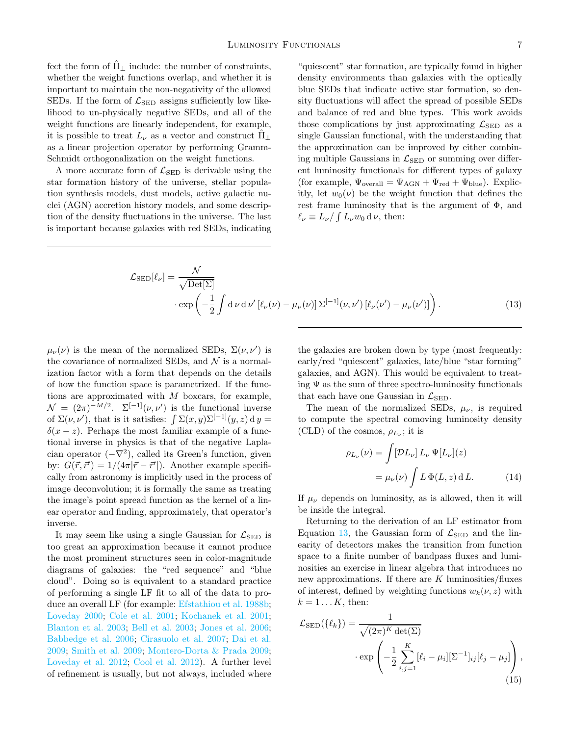fect the form of  $\Pi_{\perp}$  include: the number of constraints, whether the weight functions overlap, and whether it is important to maintain the non-negativity of the allowed SEDs. If the form of  $\mathcal{L}_{\text{SED}}$  assigns sufficiently low likelihood to un-physically negative SEDs, and all of the weight functions are linearly independent, for example, it is possible to treat  $L_{\nu}$  as a vector and construct  $\Pi_{\perp}$ as a linear projection operator by performing Gramm-Schmidt orthogonalization on the weight functions.

A more accurate form of  $\mathcal{L}_{\text{SED}}$  is derivable using the star formation history of the universe, stellar population synthesis models, dust models, active galactic nuclei (AGN) accretion history models, and some description of the density fluctuations in the universe. The last is important because galaxies with red SEDs, indicating

"quiescent" star formation, are typically found in higher density environments than galaxies with the optically blue SEDs that indicate active star formation, so density fluctuations will affect the spread of possible SEDs and balance of red and blue types. This work avoids those complications by just approximating  $\mathcal{L}_{\text{SED}}$  as a single Gaussian functional, with the understanding that the approximation can be improved by either combining multiple Gaussians in  $\mathcal{L}_{\text{SED}}$  or summing over different luminosity functionals for different types of galaxy (for example,  $\Psi_{\text{overall}} = \Psi_{\text{AGN}} + \Psi_{\text{red}} + \Psi_{\text{blue}}$ ). Explicitly, let  $w_0(\nu)$  be the weight function that defines the rest frame luminosity that is the argument of  $\Phi$ , and  $\ell_{\nu} \equiv L_{\nu} / \int L_{\nu} w_0 \, d \, \nu$ , then:

$$
\mathcal{L}_{\text{SED}}[\ell_{\nu}] = \frac{\mathcal{N}}{\sqrt{\text{Det}[\Sigma]}} \n\cdot \exp\left(-\frac{1}{2}\int d\nu \,d\nu' \left[\ell_{\nu}(\nu) - \mu_{\nu}(\nu)\right] \Sigma^{[-1]}(\nu, \nu') \left[\ell_{\nu}(\nu') - \mu_{\nu}(\nu')\right]\right).
$$
\n(13)

 $\overline{r}$ 

 $\mu_{\nu}(\nu)$  is the mean of the normalized SEDs,  $\Sigma(\nu, \nu')$  is the covariance of normalized SEDs, and  $\mathcal N$  is a normalization factor with a form that depends on the details of how the function space is parametrized. If the functions are approximated with  $M$  boxcars, for example,  $\mathcal{N} = (2\pi)^{-M/2}$ .  $\Sigma^{[-1]}(\nu, \nu')$  is the functional inverse of  $\Sigma(\nu, \nu')$ , that is it satisfies:  $\int \Sigma(x, y) \Sigma^{[-1]}(y, z) dy =$  $\delta(x-z)$ . Perhaps the most familiar example of a functional inverse in physics is that of the negative Laplacian operator  $(-\nabla^2)$ , called its Green's function, given by:  $G(\vec{r}, \vec{r}') = 1/(4\pi |\vec{r} - \vec{r}'|)$ . Another example specifically from astronomy is implicitly used in the process of image deconvolution; it is formally the same as treating the image's point spread function as the kernel of a linear operator and finding, approximately, that operator's inverse.

It may seem like using a single Gaussian for  $\mathcal{L}_{\text{SED}}$  is too great an approximation because it cannot produce the most prominent structures seen in color-magnitude diagrams of galaxies: the "red sequence" and "blue cloud". Doing so is equivalent to a standard practice of performing a single LF fit to all of the data to produce an overall LF (for example: [Efstathiou et al.](#page-13-19) [1988b;](#page-13-19) [Loveday](#page-13-25) [2000;](#page-13-25) [Cole et al.](#page-13-26) [2001;](#page-13-26) [Kochanek et al.](#page-13-27) [2001;](#page-13-27) [Blanton et al.](#page-13-13) [2003;](#page-13-13) [Bell et al.](#page-13-28) [2003;](#page-13-28) [Jones et al.](#page-13-29) [2006;](#page-13-29) [Babbedge et al.](#page-13-14) [2006;](#page-13-14) [Cirasuolo et al.](#page-13-30) [2007;](#page-13-30) [Dai et al.](#page-13-15) [2009;](#page-13-15) [Smith et al.](#page-13-31) [2009;](#page-13-31) [Montero-Dorta & Prada](#page-13-32) [2009;](#page-13-32) [Loveday et al.](#page-13-16) [2012;](#page-13-16) [Cool et al.](#page-13-17) [2012\)](#page-13-17). A further level of refinement is usually, but not always, included where

<span id="page-6-0"></span>the galaxies are broken down by type (most frequently: early/red "quiescent" galaxies, late/blue "star forming" galaxies, and AGN). This would be equivalent to treating  $\Psi$  as the sum of three spectro-luminosity functionals that each have one Gaussian in  $\mathcal{L}_{\text{SED}}$ .

The mean of the normalized SEDs,  $\mu_{\nu}$ , is required to compute the spectral comoving luminosity density (CLD) of the cosmos,  $\rho_{L_{\nu}}$ ; it is

$$
\nu_{L_{\nu}}(\nu) = \int [\mathcal{D}L_{\nu}] L_{\nu} \Psi[L_{\nu}](z)
$$

$$
= \mu_{\nu}(\nu) \int L \Phi(L, z) dL. \tag{14}
$$

If  $\mu_{\nu}$  depends on luminosity, as is allowed, then it will be inside the integral.

Returning to the derivation of an LF estimator from Equation [13,](#page-6-0) the Gaussian form of  $\mathcal{L}_{\text{SED}}$  and the linearity of detectors makes the transition from function space to a finite number of bandpass fluxes and luminosities an exercise in linear algebra that introduces no new approximations. If there are  $K$  luminosities/fluxes of interest, defined by weighting functions  $w_k(\nu, z)$  with  $k = 1 \dots K$ , then:

<span id="page-6-1"></span>
$$
\mathcal{L}_{\text{SED}}(\{\ell_k\}) = \frac{1}{\sqrt{(2\pi)^K \det(\Sigma)}}\n\cdot \exp\left(-\frac{1}{2} \sum_{i,j=1}^K [\ell_i - \mu_i][\Sigma^{-1}]_{ij} [\ell_j - \mu_j]\right),
$$
\n(15)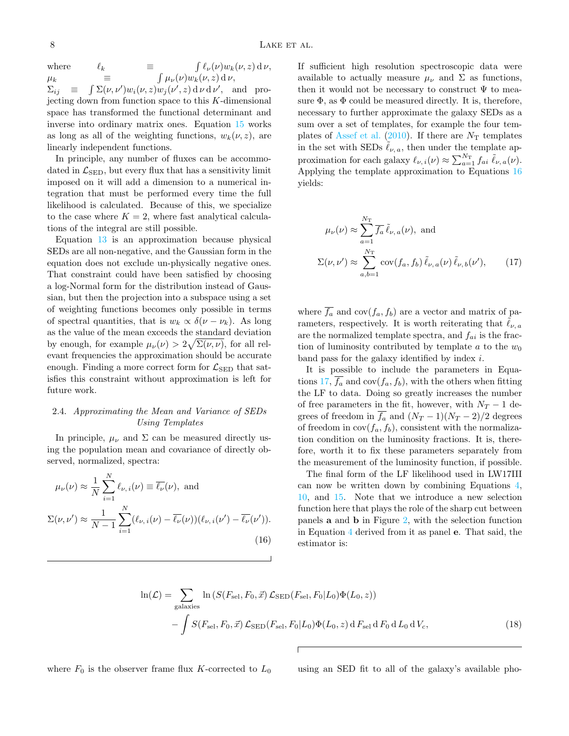where  $\ell_k$   $\equiv$  $\int \ell_{\nu}(\nu) w_k(\nu, z) d\nu,$  $\mu_k$   $\equiv$  $\int \mu_{\nu}(\nu) w_k(\nu, z) d\nu,$  $\Sigma_{ij}$   $\equiv$  $\int \Sigma(\nu, \nu') w_i(\nu, z) w_j(\nu', z) d\nu d\nu', \text{ and }$ projecting down from function space to this  $K$ -dimensional space has transformed the functional determinant and inverse into ordinary matrix ones. Equation [15](#page-6-1) works as long as all of the weighting functions,  $w_k(\nu, z)$ , are linearly independent functions.

In principle, any number of fluxes can be accommodated in  $\mathcal{L}_{\text{SED}}$ , but every flux that has a sensitivity limit imposed on it will add a dimension to a numerical integration that must be performed every time the full likelihood is calculated. Because of this, we specialize to the case where  $K = 2$ , where fast analytical calculations of the integral are still possible.

Equation [13](#page-6-0) is an approximation because physical SEDs are all non-negative, and the Gaussian form in the equation does not exclude un-physically negative ones. That constraint could have been satisfied by choosing a log-Normal form for the distribution instead of Gaussian, but then the projection into a subspace using a set of weighting functions becomes only possible in terms of spectral quantities, that is  $w_k \propto \delta(\nu - \nu_k)$ . As long as the value of the mean exceeds the standard deviation by enough, for example  $\mu_{\nu}(\nu) > 2\sqrt{\Sigma(\nu,\nu)}$ , for all relevant frequencies the approximation should be accurate enough. Finding a more correct form for  $\mathcal{L}_{\text{SED}}$  that satisfies this constraint without approximation is left for future work.

## 2.4. Approximating the Mean and Variance of SEDs Using Templates

In principle,  $\mu_{\nu}$  and  $\Sigma$  can be measured directly using the population mean and covariance of directly observed, normalized, spectra:

$$
\mu_{\nu}(\nu) \approx \frac{1}{N} \sum_{i=1}^{N} \ell_{\nu,i}(\nu) \equiv \overline{\ell_{\nu}}(\nu), \text{ and}
$$

$$
\Sigma(\nu, \nu') \approx \frac{1}{N-1} \sum_{i=1}^{N} (\ell_{\nu,i}(\nu) - \overline{\ell_{\nu}}(\nu)) (\ell_{\nu,i}(\nu') - \overline{\ell_{\nu}}(\nu')).
$$
(16)

If sufficient high resolution spectroscopic data were available to actually measure  $\mu_{\nu}$  and  $\Sigma$  as functions, then it would not be necessary to construct  $\Psi$  to measure  $\Phi$ , as  $\Phi$  could be measured directly. It is, therefore, necessary to further approximate the galaxy SEDs as a sum over a set of templates, for example the four tem-plates of [Assef et al.](#page-13-33) [\(2010\)](#page-13-33). If there are  $N<sub>T</sub>$  templates in the set with SEDs  $\ell_{\nu, a}$ , then under the template approximation for each galaxy  $\ell_{\nu,i}(\nu) \approx \sum_{a=1}^{N_{\rm T}} f_{ai} \tilde{\ell}_{\nu,a}(\nu)$ . Applying the template approximation to Equations [16](#page-7-0) yields:

<span id="page-7-1"></span>
$$
\mu_{\nu}(\nu) \approx \sum_{a=1}^{N_{\rm T}} \overline{f_a} \,\tilde{\ell}_{\nu,\,a}(\nu), \text{ and}
$$

$$
\Sigma(\nu, \nu') \approx \sum_{a,b=1}^{N_{\rm T}} \text{cov}(f_a, f_b) \,\tilde{\ell}_{\nu,\,a}(\nu) \,\tilde{\ell}_{\nu,\,b}(\nu'), \qquad (17)
$$

where  $\overline{f_a}$  and cov $(f_a, f_b)$  are a vector and matrix of parameters, respectively. It is worth reiterating that  $\ell_{\nu, a}$ are the normalized template spectra, and  $f_{ai}$  is the fraction of luminosity contributed by template  $a$  to the  $w_0$ band pass for the galaxy identified by index  $i$ .

It is possible to include the parameters in Equa-tions [17,](#page-7-1)  $f_a$  and  $cov(f_a, f_b)$ , with the others when fitting the LF to data. Doing so greatly increases the number of free parameters in the fit, however, with  $N_T - 1$  degrees of freedom in  $\overline{f_a}$  and  $(N_T - 1)(N_T - 2)/2$  degrees of freedom in  $cov(f_a, f_b)$ , consistent with the normalization condition on the luminosity fractions. It is, therefore, worth it to fix these parameters separately from the measurement of the luminosity function, if possible.

<span id="page-7-0"></span>The final form of the LF likelihood used in LW17III can now be written down by combining Equations [4,](#page-2-1) [10,](#page-5-1) and [15.](#page-6-1) Note that we introduce a new selection function here that plays the role of the sharp cut between panels a and b in Figure [2,](#page-4-0) with the selection function in Equation [4](#page-2-1) derived from it as panel e. That said, the estimator is:

$$
\ln(\mathcal{L}) = \sum_{\text{galaxies}} \ln \left( S(F_{\text{sel}}, F_0, \vec{x}) \mathcal{L}_{\text{SED}}(F_{\text{sel}}, F_0 | L_0) \Phi(L_0, z) \right)
$$

$$
- \int S(F_{\text{sel}}, F_0, \vec{x}) \mathcal{L}_{\text{SED}}(F_{\text{sel}}, F_0 | L_0) \Phi(L_0, z) dF_{\text{sel}} dF_0 dL_0 dV_c, \qquad (18)
$$

where  $F_0$  is the observer frame flux K-corrected to  $L_0$  using an SED fit to all of the galaxy's available pho-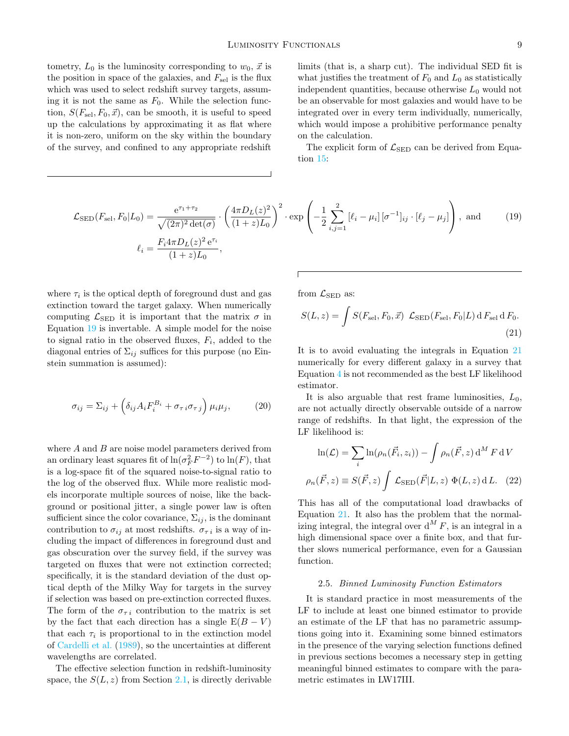tometry,  $L_0$  is the luminosity corresponding to  $w_0$ ,  $\vec{x}$  is the position in space of the galaxies, and  $F_{\rm sel}$  is the flux which was used to select redshift survey targets, assuming it is not the same as  $F_0$ . While the selection function,  $S(F_{\rm sel}, F_0, \vec{x})$ , can be smooth, it is useful to speed up the calculations by approximating it as flat where it is non-zero, uniform on the sky within the boundary of the survey, and confined to any appropriate redshift

limits (that is, a sharp cut). The individual SED fit is what justifies the treatment of  $F_0$  and  $L_0$  as statistically independent quantities, because otherwise  $L_0$  would not be an observable for most galaxies and would have to be integrated over in every term individually, numerically, which would impose a prohibitive performance penalty on the calculation.

<span id="page-8-1"></span>The explicit form of  $\mathcal{L}_{\text{SED}}$  can be derived from Equation [15:](#page-6-1)

$$
\mathcal{L}_{\text{SED}}(F_{\text{sel}}, F_0 | L_0) = \frac{e^{\tau_1 + \tau_2}}{\sqrt{(2\pi)^2 \det(\sigma)}} \cdot \left(\frac{4\pi D_L(z)^2}{(1+z)L_0}\right)^2 \cdot \exp\left(-\frac{1}{2} \sum_{i,j=1}^2 \left[\ell_i - \mu_i\right] [\sigma^{-1}]_{ij} \cdot \left[\ell_j - \mu_j\right]\right), \text{ and } (19)
$$

$$
\ell_i = \frac{F_i 4\pi D_L(z)^2 e^{\tau_i}}{(1+z)L_0},
$$

where  $\tau_i$  is the optical depth of foreground dust and gas extinction toward the target galaxy. When numerically computing  $\mathcal{L}_{\text{SED}}$  it is important that the matrix  $\sigma$  in Equation [19](#page-8-1) is invertable. A simple model for the noise to signal ratio in the observed fluxes,  $F_i$ , added to the diagonal entries of  $\Sigma_{ij}$  suffices for this purpose (no Einstein summation is assumed):

$$
\sigma_{ij} = \Sigma_{ij} + \left(\delta_{ij} A_i F_i^{B_i} + \sigma_{\tau i} \sigma_{\tau j}\right) \mu_i \mu_j, \tag{20}
$$

where  $A$  and  $B$  are noise model parameters derived from an ordinary least squares fit of  $\ln(\sigma_F^2 F^{-2})$  to  $\ln(F)$ , that is a log-space fit of the squared noise-to-signal ratio to the log of the observed flux. While more realistic models incorporate multiple sources of noise, like the background or positional jitter, a single power law is often sufficient since the color covariance,  $\Sigma_{ij}$ , is the dominant contribution to  $\sigma_{ij}$  at most redshifts.  $\sigma_{\tau i}$  is a way of including the impact of differences in foreground dust and gas obscuration over the survey field, if the survey was targeted on fluxes that were not extinction corrected; specifically, it is the standard deviation of the dust optical depth of the Milky Way for targets in the survey if selection was based on pre-extinction corrected fluxes. The form of the  $\sigma_{\tau i}$  contribution to the matrix is set by the fact that each direction has a single  $E(B - V)$ that each  $\tau_i$  is proportional to in the extinction model of [Cardelli et al.](#page-13-34) [\(1989\)](#page-13-34), so the uncertainties at different wavelengths are correlated.

The effective selection function in redshift-luminosity space, the  $S(L, z)$  from Section [2.1,](#page-1-1) is directly derivable from  $\mathcal{L}_{\text{SED}}$  as:

<span id="page-8-2"></span>
$$
S(L, z) = \int S(F_{\rm sel}, F_0, \vec{x}) \mathcal{L}_{\rm SED}(F_{\rm sel}, F_0|L) dF_{\rm sel} dF_0.
$$
\n(21)

It is to avoid evaluating the integrals in Equation [21](#page-8-2) numerically for every different galaxy in a survey that Equation [4](#page-2-1) is not recommended as the best LF likelihood estimator.

It is also arguable that rest frame luminosities,  $L_0$ , are not actually directly observable outside of a narrow range of redshifts. In that light, the expression of the LF likelihood is:

$$
\ln(\mathcal{L}) = \sum_{i} \ln(\rho_n(\vec{F}_i, z_i)) - \int \rho_n(\vec{F}, z) d^M F dV
$$

$$
\rho_n(\vec{F}, z) \equiv S(\vec{F}, z) \int \mathcal{L}_{\text{SED}}(\vec{F}|L, z) \Phi(L, z) dL. \quad (22)
$$

This has all of the computational load drawbacks of Equation [21.](#page-8-2) It also has the problem that the normalizing integral, the integral over  $d^M F$ , is an integral in a high dimensional space over a finite box, and that further slows numerical performance, even for a Gaussian function.

### 2.5. Binned Luminosity Function Estimators

<span id="page-8-0"></span>It is standard practice in most measurements of the LF to include at least one binned estimator to provide an estimate of the LF that has no parametric assumptions going into it. Examining some binned estimators in the presence of the varying selection functions defined in previous sections becomes a necessary step in getting meaningful binned estimates to compare with the parametric estimates in LW17III.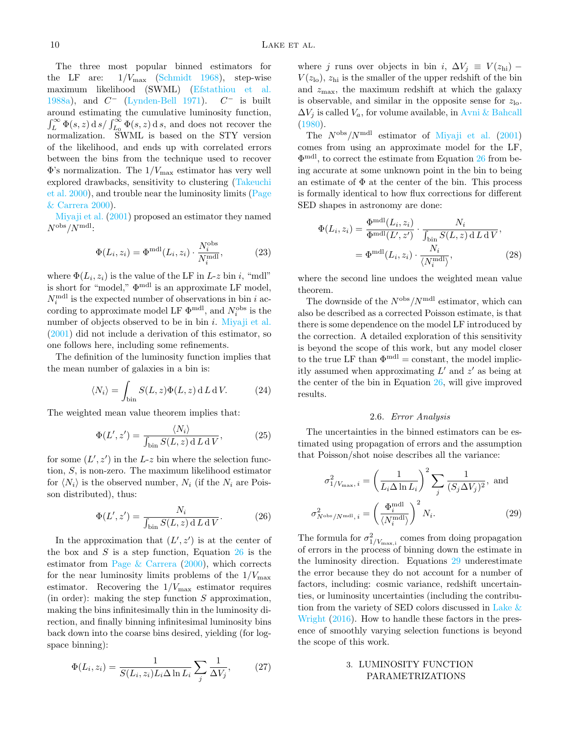The three most popular binned estimators for the LF are:  $1/V_{\text{max}}$  [\(Schmidt](#page-13-4) [1968\)](#page-13-4), step-wise maximum likelihood (SWML) [\(Efstathiou et al.](#page-13-6) [1988a\)](#page-13-6), and  $C^-$  [\(Lynden-Bell](#page-13-35) [1971\)](#page-13-35).  $C^-$  is built around estimating the cumulative luminosity function,  $\int_L^{\infty} \Phi(s, z) \,ds / \int_{L_0}^{\infty} \Phi(s, z) \,ds$ , and does not recover the normalization. SWML is based on the STY version of the likelihood, and ends up with correlated errors between the bins from the technique used to recover  $\Phi$ 's normalization. The  $1/V_{\text{max}}$  estimator has very well explored drawbacks, sensitivity to clustering [\(Takeuchi](#page-13-36) [et al.](#page-13-36) [2000\)](#page-13-36), and trouble near the luminosity limits [\(Page](#page-13-10) [& Carrera](#page-13-10) [2000\)](#page-13-10).

[Miyaji et al.](#page-13-11) [\(2001\)](#page-13-11) proposed an estimator they named  $N^{\rm obs}/N^{\rm mdl}$ :

$$
\Phi(L_i, z_i) = \Phi^{\text{mdl}}(L_i, z_i) \cdot \frac{N_i^{\text{obs}}}{N_i^{\text{mdl}}},\tag{23}
$$

where  $\Phi(L_i, z_i)$  is the value of the LF in L-z bin i, "mdl" is short for "model,"  $\Phi^{\text{mdl}}$  is an approximate LF model,  $N_i^{\text{mdl}}$  is the expected number of observations in bin i according to approximate model LF  $\Phi^{\text{mdl}}$ , and  $N_i^{\text{obs}}$  is the number of objects observed to be in bin  $i$ . [Miyaji et al.](#page-13-11) [\(2001\)](#page-13-11) did not include a derivation of this estimator, so one follows here, including some refinements.

The definition of the luminosity function implies that the mean number of galaxies in a bin is:

$$
\langle N_i \rangle = \int_{\text{bin}} S(L, z) \Phi(L, z) \, \text{d} \, L \, \text{d} \, V. \tag{24}
$$

The weighted mean value theorem implies that:

$$
\Phi(L', z') = \frac{\langle N_i \rangle}{\int_{\text{bin}} S(L, z) \, dL \, dV},\tag{25}
$$

for some  $(L', z')$  in the L-z bin where the selection function, S, is non-zero. The maximum likelihood estimator for  $\langle N_i \rangle$  is the observed number,  $N_i$  (if the  $N_i$  are Poisson distributed), thus:

$$
\Phi(L', z') = \frac{N_i}{\int_{\text{bin}} S(L, z) \, dL \, dV}.\tag{26}
$$

In the approximation that  $(L', z')$  is at the center of the box and  $S$  is a step function, Equation  $26$  is the estimator from [Page & Carrera](#page-13-10) [\(2000\)](#page-13-10), which corrects for the near luminosity limits problems of the  $1/V_{\text{max}}$ estimator. Recovering the  $1/V_{\text{max}}$  estimator requires (in order): making the step function  $S$  approximation, making the bins infinitesimally thin in the luminosity direction, and finally binning infinitesimal luminosity bins back down into the coarse bins desired, yielding (for logspace binning):

$$
\Phi(L_i, z_i) = \frac{1}{S(L_i, z_i)L_i \Delta \ln L_i} \sum_j \frac{1}{\Delta V_j},\tag{27}
$$

where j runs over objects in bin i,  $\Delta V_i \equiv V(z_{\rm hi})$  –  $V(z_{\text{lo}})$ ,  $z_{\text{hi}}$  is the smaller of the upper redshift of the bin and  $z_{\text{max}}$ , the maximum redshift at which the galaxy is observable, and similar in the opposite sense for  $z_{\text{lo}}$ .  $\Delta V_i$  is called  $V_a$ , for volume available, in [Avni & Bahcall](#page-13-5) [\(1980\)](#page-13-5).

The  $N^{\text{obs}}/N^{\text{mdl}}$  estimator of [Miyaji et al.](#page-13-11) [\(2001\)](#page-13-11) comes from using an approximate model for the LF, Φ mdl, to correct the estimate from Equation [26](#page-9-2) from being accurate at some unknown point in the bin to being an estimate of  $\Phi$  at the center of the bin. This process is formally identical to how flux corrections for different SED shapes in astronomy are done:

$$
\Phi(L_i, z_i) = \frac{\Phi^{\text{mdl}}(L_i, z_i)}{\Phi^{\text{mdl}}(L', z')} \cdot \frac{N_i}{\int_{\text{bin}} S(L, z) \, dL \, dV},
$$
\n
$$
= \Phi^{\text{mdl}}(L_i, z_i) \cdot \frac{N_i}{\langle N_i^{\text{mdl}} \rangle},
$$
\n(28)

where the second line undoes the weighted mean value theorem.

The downside of the  $N^{\text{obs}}/N^{\text{mdl}}$  estimator, which can also be described as a corrected Poisson estimate, is that there is some dependence on the model LF introduced by the correction. A detailed exploration of this sensitivity is beyond the scope of this work, but any model closer to the true LF than  $\Phi^{\text{mdl}} = \text{constant}$ , the model implicitly assumed when approximating  $L'$  and  $z'$  as being at the center of the bin in Equation [26,](#page-9-2) will give improved results.

## <span id="page-9-3"></span>2.6. Error Analysis

<span id="page-9-1"></span>The uncertainties in the binned estimators can be estimated using propagation of errors and the assumption that Poisson/shot noise describes all the variance:

$$
\sigma_{1/V_{\text{max}},i}^2 = \left(\frac{1}{L_i \Delta \ln L_i}\right)^2 \sum_j \frac{1}{(S_j \Delta V_j)^2}, \text{ and}
$$

$$
\sigma_{N^{\text{obs}}/N^{\text{mdl}},i}^2 = \left(\frac{\Phi_i^{\text{mdl}}}{\langle N_i^{\text{mdl}}\rangle}\right)^2 N_i.
$$
(29)

<span id="page-9-2"></span>The formula for  $\sigma_{1/V_{\text{max,i}}}^2$  comes from doing propagation of errors in the process of binning down the estimate in the luminosity direction. Equations [29](#page-9-3) underestimate the error because they do not account for a number of factors, including: cosmic variance, redshift uncertainties, or luminosity uncertainties (including the contribution from the variety of SED colors discussed in Lake  $\&$ [Wright](#page-13-37) [\(2016\)](#page-13-37). How to handle these factors in the presence of smoothly varying selection functions is beyond the scope of this work.

## <span id="page-9-0"></span>3. LUMINOSITY FUNCTION PARAMETRIZATIONS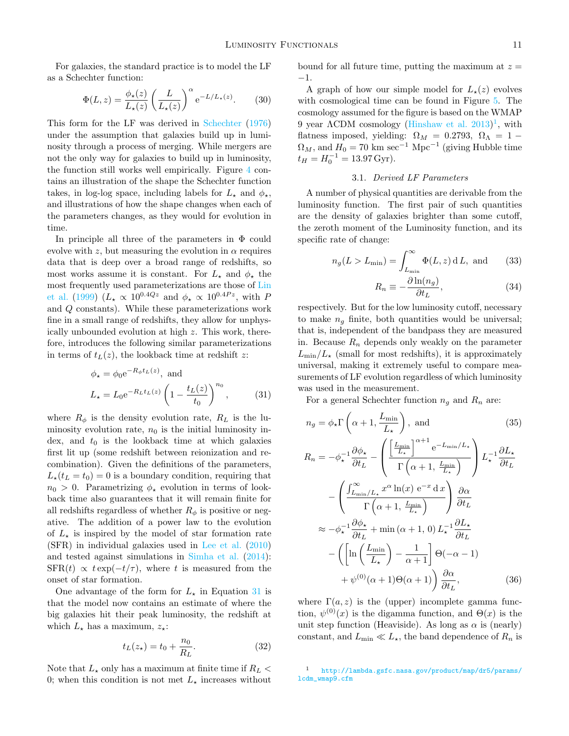For galaxies, the standard practice is to model the LF as a Schechter function:

$$
\Phi(L,z) = \frac{\phi_{\star}(z)}{L_{\star}(z)} \left(\frac{L}{L_{\star}(z)}\right)^{\alpha} e^{-L/L_{\star}(z)}.
$$
 (30)

This form for the LF was derived in [Schechter](#page-13-38) [\(1976\)](#page-13-38) under the assumption that galaxies build up in luminosity through a process of merging. While mergers are not the only way for galaxies to build up in luminosity, the function still works well empirically. Figure [4](#page-11-0) contains an illustration of the shape the Schechter function takes, in log-log space, including labels for  $L_{\star}$  and  $\phi_{\star}$ , and illustrations of how the shape changes when each of the parameters changes, as they would for evolution in time.

In principle all three of the parameters in  $\Phi$  could evolve with z, but measuring the evolution in  $\alpha$  requires data that is deep over a broad range of redshifts, so most works assume it is constant. For  $L_{\star}$  and  $\phi_{\star}$  the most frequently used parameterizations are those of [Lin](#page-13-12) [et al.](#page-13-12) [\(1999\)](#page-13-12)  $(L_{\star} \propto 10^{0.4Qz}$  and  $\phi_{\star} \propto 10^{0.4Pz}$ , with P and Q constants). While these parameterizations work fine in a small range of redshifts, they allow for unphysically unbounded evolution at high z. This work, therefore, introduces the following similar parameterizations in terms of  $t_L(z)$ , the lookback time at redshift z:

$$
\phi_{\star} = \phi_0 e^{-R_{\phi} t_L(z)}, \text{ and}
$$
  

$$
L_{\star} = L_0 e^{-R_L t_L(z)} \left(1 - \frac{t_L(z)}{t_0}\right)^{n_0}, \quad (31)
$$

where  $R_{\phi}$  is the density evolution rate,  $R_L$  is the luminosity evolution rate,  $n_0$  is the initial luminosity index, and  $t_0$  is the lookback time at which galaxies first lit up (some redshift between reionization and recombination). Given the definitions of the parameters,  $L_{\star}(t_L = t_0) = 0$  is a boundary condition, requiring that  $n_0 > 0$ . Parametrizing  $\phi_*$  evolution in terms of lookback time also guarantees that it will remain finite for all redshifts regardless of whether  $R_{\phi}$  is positive or negative. The addition of a power law to the evolution of  $L_{\star}$  is inspired by the model of star formation rate (SFR) in individual galaxies used in [Lee et al.](#page-13-39) [\(2010\)](#page-13-39) and tested against simulations in [Simha et al.](#page-13-40) [\(2014\)](#page-13-40):  $SFR(t) \propto t \exp(-t/\tau)$ , where t is measured from the onset of star formation.

One advantage of the form for  $L_{\star}$  in Equation [31](#page-10-0) is that the model now contains an estimate of where the big galaxies hit their peak luminosity, the redshift at which  $L_{\star}$  has a maximum,  $z_{\star}$ :

$$
t_L(z_{\star}) = t_0 + \frac{n_0}{R_L}.\t\t(32)
$$

Note that  $L_{\star}$  only has a maximum at finite time if  $R_L$  < 0; when this condition is not met  $L_{\star}$  increases without bound for all future time, putting the maximum at  $z =$ −1.

A graph of how our simple model for  $L_{\star}(z)$  evolves with cosmological time can be found in Figure [5.](#page-11-1) The cosmology assumed for the figure is based on the WMAP 9 year  $\Lambda$ CDM cosmology [\(Hinshaw et al.](#page-13-41) [2013\)](#page-13-41)<sup>[1](#page-10-1)</sup>, with flatness imposed, yielding:  $\Omega_M = 0.2793$ ,  $\Omega_{\Lambda} = 1 \Omega_M$ , and  $H_0 = 70$  km sec<sup>-1</sup> Mpc<sup>-1</sup> (giving Hubble time  $t_H = H_0^{-1} = 13.97 \,\text{Gyr}.$ 

### 3.1. Derived LF Parameters

A number of physical quantities are derivable from the luminosity function. The first pair of such quantities are the density of galaxies brighter than some cutoff, the zeroth moment of the Luminosity function, and its specific rate of change:

$$
n_g(L > L_{\min}) = \int_{L_{\min}}^{\infty} \Phi(L, z) dL, \text{ and } (33)
$$

$$
R_n \equiv -\frac{\partial \ln(n_g)}{\partial t_L},\tag{34}
$$

respectively. But for the low luminosity cutoff, necessary to make  $n<sub>g</sub>$  finite, both quantities would be universal; that is, independent of the bandpass they are measured in. Because  $R_n$  depends only weakly on the parameter  $L_{\text{min}}/L_{\star}$  (small for most redshifts), it is approximately universal, making it extremely useful to compare measurements of LF evolution regardless of which luminosity was used in the measurement.

<span id="page-10-0"></span>For a general Schechter function  $n_g$  and  $R_n$  are:

$$
n_g = \phi_{\star} \Gamma\left(\alpha + 1, \frac{L_{\min}}{L_{\star}}\right), \text{ and } (35)
$$
  
\n
$$
R_n = -\phi_{\star}^{-1} \frac{\partial \phi_{\star}}{\partial t_L} - \left(\frac{\left[\frac{L_{\min}}{L_{\star}}\right]^{\alpha+1} e^{-L_{\min}/L_{\star}}}{\Gamma\left(\alpha+1, \frac{L_{\min}}{L_{\star}}\right)}\right) L_{\star}^{-1} \frac{\partial L_{\star}}{\partial t_L}
$$
  
\n
$$
- \left(\frac{\int_{L_{\min}/L_{\star}}^{\infty} x^{\alpha} \ln(x) e^{-x} dx}{\Gamma\left(\alpha+1, \frac{L_{\min}}{L_{\star}}\right)}\right) \frac{\partial \alpha}{\partial t_L}
$$
  
\n
$$
\approx -\phi_{\star}^{-1} \frac{\partial \phi_{\star}}{\partial t_L} + \min(\alpha+1, 0) L_{\star}^{-1} \frac{\partial L_{\star}}{\partial t_L}
$$
  
\n
$$
- \left(\left[\ln\left(\frac{L_{\min}}{L_{\star}}\right) - \frac{1}{\alpha+1}\right] \Theta(-\alpha - 1) + \psi^{(0)}(\alpha+1) \Theta(\alpha+1)\right) \frac{\partial \alpha}{\partial t_L}, \tag{36}
$$

where  $\Gamma(a, z)$  is the (upper) incomplete gamma function,  $\psi^{(0)}(x)$  is the digamma function, and  $\Theta(x)$  is the unit step function (Heaviside). As long as  $\alpha$  is (nearly) constant, and  $L_{\min} \ll L_{\star}$ , the band dependence of  $R_n$  is

<span id="page-10-2"></span><span id="page-10-1"></span><sup>1</sup> [http://lambda.gsfc.nasa.gov/product/map/dr5/params/](http://lambda.gsfc.nasa.gov/product/map/dr5/params/lcdm_wmap9.cfm) [lcdm\\_wmap9.cfm](http://lambda.gsfc.nasa.gov/product/map/dr5/params/lcdm_wmap9.cfm)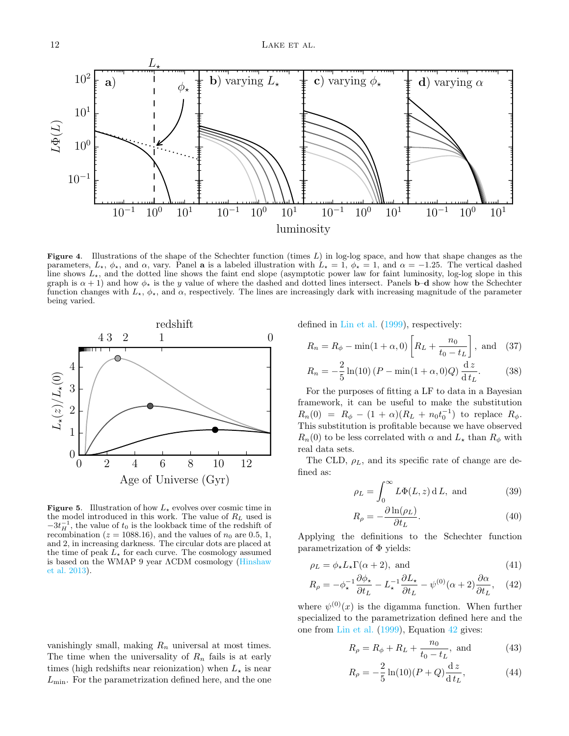

<span id="page-11-0"></span>Figure 4. Illustrations of the shape of the Schechter function (times  $L$ ) in log-log space, and how that shape changes as the parameters,  $L_{\star}$ ,  $\phi_{\star}$ , and  $\alpha$ , vary. Panel a is a labeled illustration with  $L_{\star} = 1$ ,  $\phi_{\star} = 1$ , and  $\alpha = -1.25$ . The vertical dashed line shows  $L_{\star}$ , and the dotted line shows the faint end slope (asymptotic power law for faint luminosity, log-log slope in this graph is  $\alpha + 1$ ) and how  $\phi_{\star}$  is the y value of where the dashed and dotted lines intersect. Panels **b–d** show how the Schechter function changes with  $L_{\star}$ ,  $\phi_{\star}$ , and  $\alpha$ , respectively. The lines are increasingly dark with increasing magnitude of the parameter being varied.



<span id="page-11-1"></span>**Figure 5.** Illustration of how  $L_{\star}$  evolves over cosmic time in the model introduced in this work. The value of  $R_L$  used is  $-3t_H^{-1}$ , the value of  $t_0$  is the lookback time of the redshift of recombination ( $z = 1088.16$ ), and the values of  $n_0$  are 0.5, 1, and 2, in increasing darkness. The circular dots are placed at the time of peak  $L_{\star}$  for each curve. The cosmology assumed is based on the WMAP 9 year ΛCDM cosmology [\(Hinshaw](#page-13-41) [et al.](#page-13-41) [2013\)](#page-13-41).

vanishingly small, making  $R_n$  universal at most times. The time when the universality of  $R_n$  fails is at early times (high redshifts near reionization) when  $L_{\star}$  is near  $L_{\text{min}}$ . For the parametrization defined here, and the one defined in [Lin et al.](#page-13-12) [\(1999\)](#page-13-12), respectively:

$$
R_n = R_\phi - \min(1 + \alpha, 0) \left[ R_L + \frac{n_0}{t_0 - t_L} \right]
$$
, and (37)

$$
R_n = -\frac{2}{5}\ln(10)\left(P - \min(1 + \alpha, 0)Q\right)\frac{dz}{dt_L}.
$$
 (38)

For the purposes of fitting a LF to data in a Bayesian framework, it can be useful to make the substitution  $R_n(0) = R_\phi - (1 + \alpha)(R_L + n_0 t_0^{-1})$  to replace  $R_\phi$ . This substitution is profitable because we have observed  $R_n(0)$  to be less correlated with  $\alpha$  and  $L_{\star}$  than  $R_{\phi}$  with real data sets.

The CLD,  $\rho_L$ , and its specific rate of change are defined as:

$$
\rho_L = \int_0^\infty L\Phi(L, z) \, \mathrm{d}L, \text{ and } (39)
$$

<span id="page-11-2"></span>
$$
R_{\rho} = -\frac{\partial \ln(\rho_L)}{\partial t_L}.
$$
\n(40)

Applying the definitions to the Schechter function parametrization of Φ yields:

$$
\rho_L = \phi_\star L_\star \Gamma(\alpha + 2), \text{ and} \tag{41}
$$

$$
R_{\rho} = -\phi_{\star}^{-1} \frac{\partial \phi_{\star}}{\partial t_{L}} - L_{\star}^{-1} \frac{\partial L_{\star}}{\partial t_{L}} - \psi^{(0)}(\alpha + 2) \frac{\partial \alpha}{\partial t_{L}}, \quad (42)
$$

where  $\psi^{(0)}(x)$  is the digamma function. When further specialized to the parametrization defined here and the one from [Lin et al.](#page-13-12) [\(1999\)](#page-13-12), Equation [42](#page-11-2) gives:

$$
R_{\rho} = R_{\phi} + R_L + \frac{n_0}{t_0 - t_L}, \text{ and } (43)
$$

$$
R_{\rho} = -\frac{2}{5} \ln(10)(P+Q)\frac{dz}{dt_L},
$$
 (44)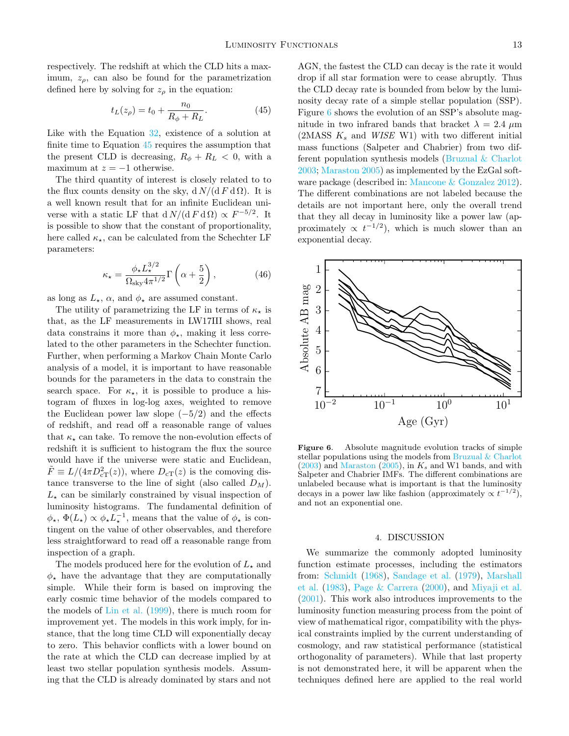respectively. The redshift at which the CLD hits a maximum,  $z_{\rho}$ , can also be found for the parametrization defined here by solving for  $z<sub>\rho</sub>$  in the equation:

$$
t_L(z_\rho) = t_0 + \frac{n_0}{R_\phi + R_L}.\tag{45}
$$

Like with the Equation [32,](#page-10-2) existence of a solution at finite time to Equation [45](#page-12-1) requires the assumption that the present CLD is decreasing,  $R_{\phi} + R_L < 0$ , with a maximum at  $z = -1$  otherwise.

The third quantity of interest is closely related to to the flux counts density on the sky,  $d N/(d F d \Omega)$ . It is a well known result that for an infinite Euclidean universe with a static LF that  $d N/(d F d \Omega) \propto F^{-5/2}$ . It is possible to show that the constant of proportionality, here called  $\kappa_{\star}$ , can be calculated from the Schechter LF parameters:

$$
\kappa_{\star} = \frac{\phi_{\star} L_{\star}^{3/2}}{\Omega_{\rm sky} 4\pi^{1/2}} \Gamma\left(\alpha + \frac{5}{2}\right),\tag{46}
$$

as long as  $L_{\star}$ ,  $\alpha$ , and  $\phi_{\star}$  are assumed constant.

The utility of parametrizing the LF in terms of  $\kappa_{\star}$  is that, as the LF measurements in LW17III shows, real data constrains it more than  $\phi_{\star}$ , making it less correlated to the other parameters in the Schechter function. Further, when performing a Markov Chain Monte Carlo analysis of a model, it is important to have reasonable bounds for the parameters in the data to constrain the search space. For  $\kappa_{\star}$ , it is possible to produce a histogram of fluxes in log-log axes, weighted to remove the Euclidean power law slope  $(-5/2)$  and the effects of redshift, and read off a reasonable range of values that  $\kappa_\star$  can take. To remove the non-evolution effects of redshift it is sufficient to histogram the flux the source would have if the universe were static and Euclidean,  $\tilde{F} \equiv L/(4\pi D_{\rm cT}^2(z))$ , where  $D_{\rm cT}(z)$  is the comoving distance transverse to the line of sight (also called  $D_M$ ).  $L_{\star}$  can be similarly constrained by visual inspection of luminosity histograms. The fundamental definition of  $\phi_{\star}, \Phi(L_{\star}) \propto \phi_{\star} L_{\star}^{-1}$ , means that the value of  $\phi_{\star}$  is contingent on the value of other observables, and therefore less straightforward to read off a reasonable range from inspection of a graph.

The models produced here for the evolution of  $L_{\star}$  and  $\phi_{\star}$  have the advantage that they are computationally simple. While their form is based on improving the early cosmic time behavior of the models compared to the models of [Lin et al.](#page-13-12) [\(1999\)](#page-13-12), there is much room for improvement yet. The models in this work imply, for instance, that the long time CLD will exponentially decay to zero. This behavior conflicts with a lower bound on the rate at which the CLD can decrease implied by at least two stellar population synthesis models. Assuming that the CLD is already dominated by stars and not

<span id="page-12-1"></span>AGN, the fastest the CLD can decay is the rate it would drop if all star formation were to cease abruptly. Thus the CLD decay rate is bounded from below by the luminosity decay rate of a simple stellar population (SSP). Figure [6](#page-12-2) shows the evolution of an SSP's absolute magnitude in two infrared bands that bracket  $\lambda = 2.4 \mu m$ (2MASS  $K_s$  and *WISE* W1) with two different initial mass functions (Salpeter and Chabrier) from two different population synthesis models [\(Bruzual & Charlot](#page-13-42) [2003;](#page-13-42) [Maraston](#page-13-43) [2005\)](#page-13-43) as implemented by the EzGal software package (described in: [Mancone & Gonzalez](#page-13-44) [2012\)](#page-13-44). The different combinations are not labeled because the details are not important here, only the overall trend that they all decay in luminosity like a power law (approximately  $\propto t^{-1/2}$ , which is much slower than an exponential decay.



<span id="page-12-2"></span>Figure 6. Absolute magnitude evolution tracks of simple stellar populations using the models from Bruzual  $&$  Charlot  $(2003)$  and [Maraston](#page-13-43)  $(2005)$ , in  $K_s$  and W1 bands, and with Salpeter and Chabrier IMFs. The different combinations are unlabeled because what is important is that the luminosity decays in a power law like fashion (approximately  $\propto t^{-1/2}$ ), and not an exponential one.

#### 4. DISCUSSION

<span id="page-12-0"></span>We summarize the commonly adopted luminosity function estimate processes, including the estimators from: [Schmidt](#page-13-4) [\(1968\)](#page-13-4), [Sandage et al.](#page-13-7) [\(1979\)](#page-13-7), [Marshall](#page-13-9) [et al.](#page-13-9) [\(1983\)](#page-13-9), [Page & Carrera](#page-13-10) [\(2000\)](#page-13-10), and [Miyaji et al.](#page-13-11) [\(2001\)](#page-13-11). This work also introduces improvements to the luminosity function measuring process from the point of view of mathematical rigor, compatibility with the physical constraints implied by the current understanding of cosmology, and raw statistical performance (statistical orthogonality of parameters). While that last property is not demonstrated here, it will be apparent when the techniques defined here are applied to the real world